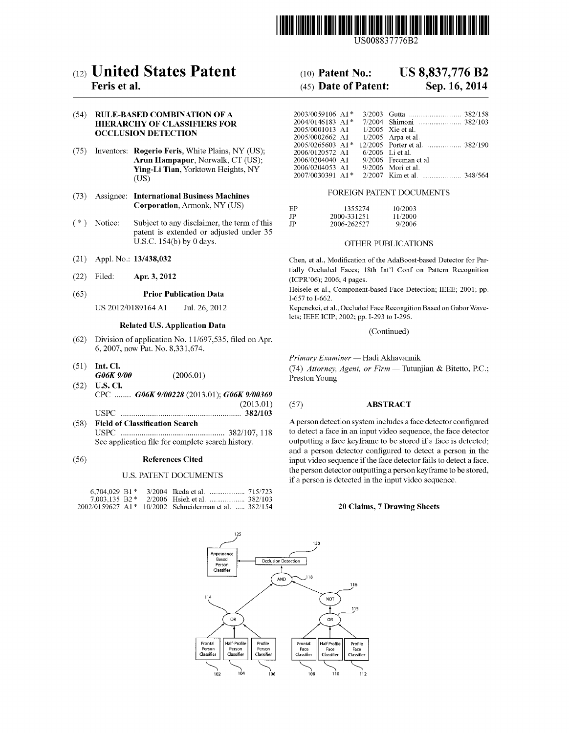

US008837776B2

# (12) United States Patent (10) Patent N0.: US 8,837,776 B2

# (54) RULE-BASED COMBINATION OF A HIERARCHY OF CLASSIFIERS FOR OCCLUSION DETECTION

- (75) Inventors: Rogerio Feris, White Plains, NY (US); Arun Hampapur, Norwalk, CT (US); Ying-Li Tian, Yorktown Heights, NY (US)
- (73) Assignee: International Business Machines FOREIGN PATENT DOCUMENTS Corporation, Armonk, NY (US)
- patent is extended or adjusted under 35 U.S.C. 154(b) by 0 days. OTHER PUBLICATIONS
- 
- (22) Filed: Apr. 3, 2012 (ICPR'06); 2006; 4 pages.

### Related US. Application Data \_

- $(62)$  Division of application No. 11/697,535, filed on Apr. 6, 2007, noW Pat. No. 8,331,674.
- GOOK 9700 (2006.01) Preston Young<br>
(52) U.S. Cl.
- CPC ........ **G06K 9/00228** (2013.01); **G06K 9/00369** (2013.01) (2013.01) (57) ABSTRACT USPC ........................................................ .. 382/103
- USPC ................................................ .. 382/107, 118 to detect a face in an input video sequence, the face detector

### U.S. PATENT DOCUMENTS

| $6,704,029$ B1* |  |                                                       |  |
|-----------------|--|-------------------------------------------------------|--|
|                 |  |                                                       |  |
|                 |  | 2002/0159627 A1* 10/2002 Schneiderman et al.  382/154 |  |

# **Feris et al.** (45) Date of Patent: Sep. 16, 2014

| ON OF A              | 2003/0059106 A1*                           |  |                                                  |
|----------------------|--------------------------------------------|--|--------------------------------------------------|
| IERS FOR             | $2004/0146183$ A <sub>1</sub> <sup>*</sup> |  |                                                  |
|                      | 2005/0001013 A1 1/2005 Xie et al.          |  |                                                  |
|                      | 2005/0002662 A1 1/2005 Arpa et al.         |  |                                                  |
|                      |                                            |  |                                                  |
| ite Plains, NY (US); | 2006/0120572 A1 6/2006 Li et al.           |  |                                                  |
| Norwalk, CT (US);    | 2006/0204040 A1 9/2006 Freeman et al.      |  |                                                  |
| town Heights, NY     | 2006/0204053 A1 9/2006 Mori et al.         |  |                                                  |
|                      |                                            |  | $2007/0030391$ A 1* $2/2007$ K im et al. 348/564 |

|       |         | Corporation, Armonk, N 1 (US)               |              | 1355274     | 10/2003 |
|-------|---------|---------------------------------------------|--------------|-------------|---------|
|       |         |                                             |              | 2000-331251 | 11/2000 |
| ( * ∖ | Notice: | Subject to any disclaimer, the term of this | $\mathbf{P}$ | 2006-262527 | 9/2006  |

(21) Appl. No.: 13/438,032 Chen, et al., Modification of the AdaBoost-based Detector for Par-Filed: **Apr. 3, 2012** tially Occluded Faces; 18th Int'l Conf on Pattern Recognition

(65) **Prior Publication Data** Heisele et al., Component-based Face Detection; IEEE; 2001; pp. (657to I-662)

US 2012/0189164 A1 Jul. 26, 2012 Kepenekci, et al., Occluded Face Recongition Based on GaborWave lets; IEEE ICIP; 2002; pp. I-293 to I-296.

(Continued)

Primary Examiner - Hadi Akhavannik

(51) Int. Cl.  $G06K\ 9/00$  (2006.01)  $(74)$  Attorney, Agent, or Firm — Tutunjian & Bitetto, P.C.;

(58) Field of Classification Search A person detection system includes a face detector configured<br>USPC mummum mummum 382/107, 118 to detect a face in an input video sequence, the face detector See application file for complete search history. outputting a face keyframe to be stored if a face is detected; and a person detector configured to detect a person in the (56) References Cited input Video sequence if the face detector fails to detect a face, the person detector outputting a person keyframe to be stored, if a person is detected in the input Video sequence.

### 20 Claims, 7 Drawing Sheets

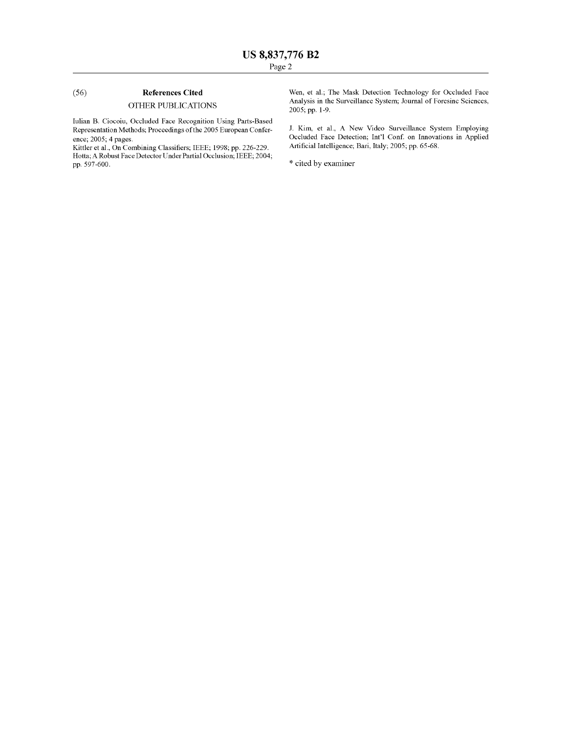# (56) References Cited

# OTHER PUBLICATIONS

Iulian B. Ciocoiu, Occluded Face Recognition Using Parts-Based Representation Methods; Proceedings of the 2005 European Confer ence; 2005; 4 pages.

Kittler et al., On Combining Classifiers; IEEE; 1998; pp. 226-229. Hotta; A Robust Face Detector Under Partial Occlusion; IEEE; 2004; pp. 597-600.

Wen, et al.; The Mask Detection Technology for Occluded Face Analysis in the Surveillance System; Journal of Foresinc Sciences, 2005; pp. 1-9.

J. Kim, et al., A New Video Surveillance System Employing Occluded Face Detection; Int'l Conf. on Innovations in Applied Artificial Intelligence; Bari, Italy; 2005; pp. 65-68.

\* cited by examiner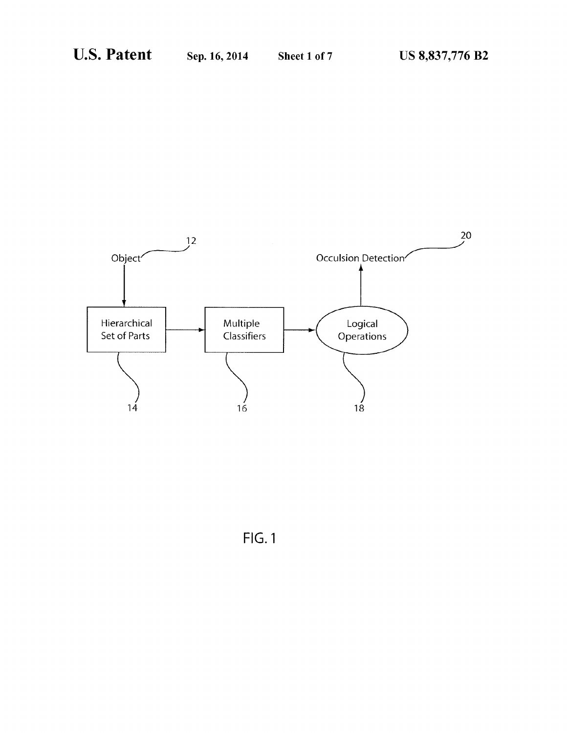

FlG.l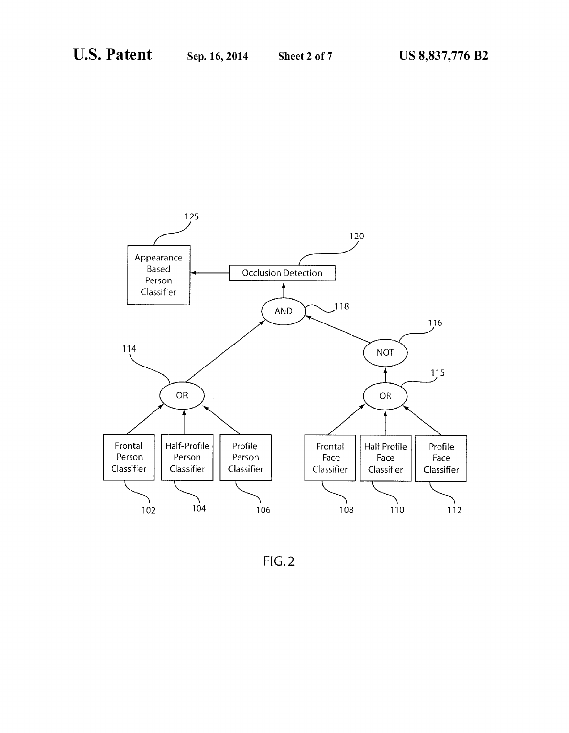

FIG.2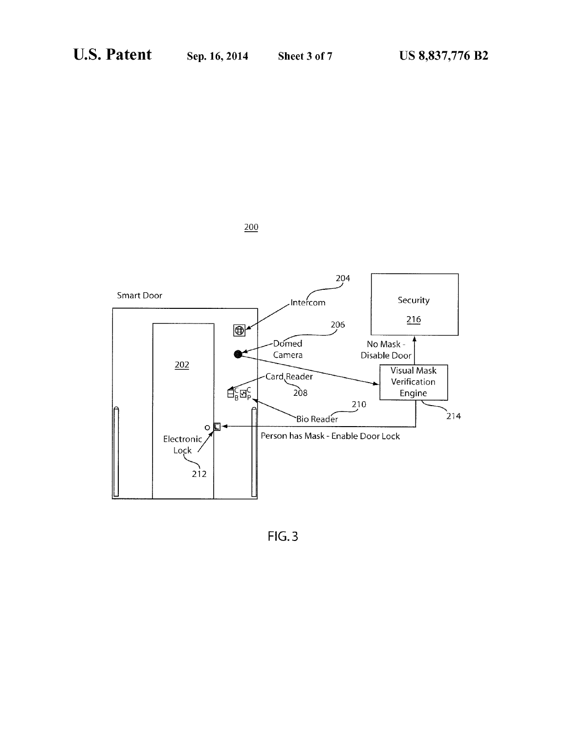

 $200$ 

 $FIG.3$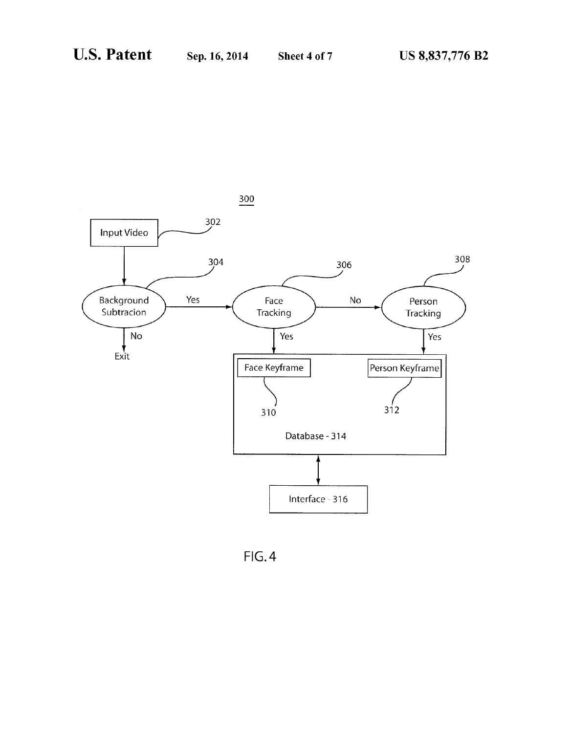

FlG.4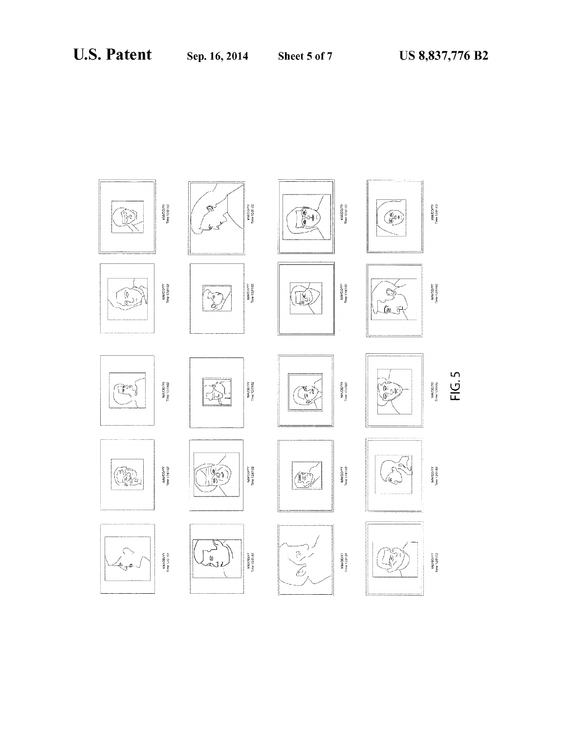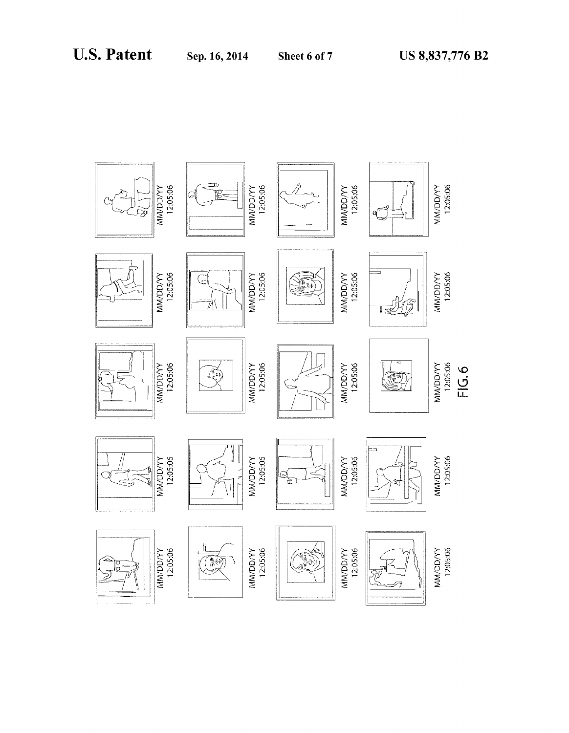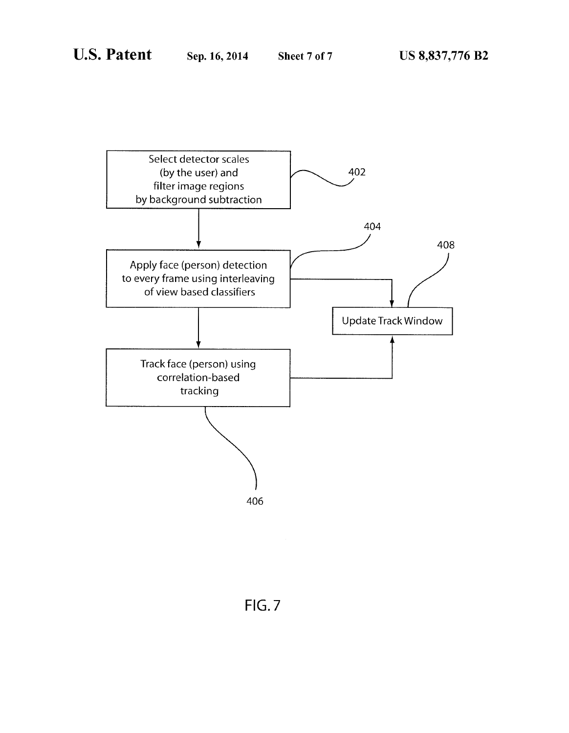

FlG.7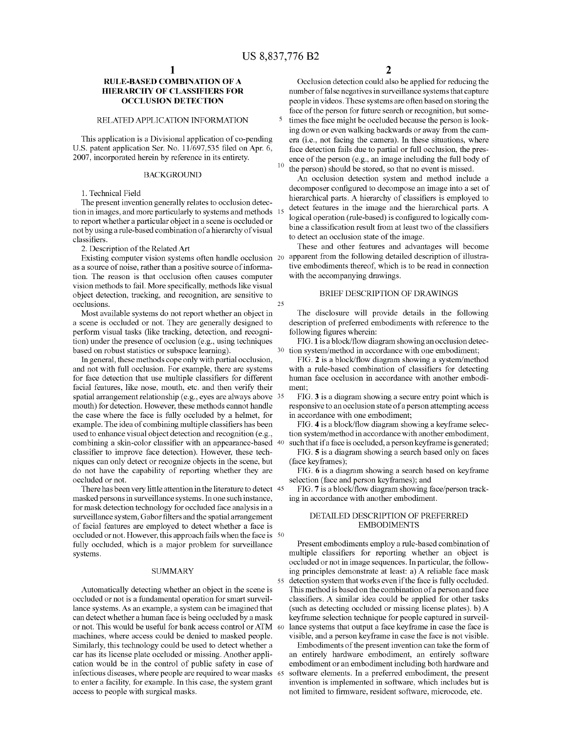5

30

55

# RULE-BASED COMBINATION OF A HIERARCHY OF CLASSIFIERS FOR OCCLUSION DETECTION

### RELATED APPLICATION INFORMATION

This application is a Divisional application of co-pending U.S. patent application Ser. No. 11/697,535 filed on Apr. 6, 2007, incorporated herein by reference in its entirety.

# BACKGROUND

1. Technical Field

The present invention generally relates to occlusion detec tion in images, and more particularly to systems and methods 1: to report whether a particular object in a scene is occluded or not by using a rule-based combination of a hierarchy of visual classifiers.

2. Description of the Related Art

as a source of noise, rather than a positive source of informa tion. The reason is that occlusion often causes computer vision methods to fail. More specifically, methods like visual object detection, tracking, and recognition, are sensitive to occlusions. 25

Most available systems do not report whether an object in a scene is occluded or not. They are generally designed to perform visual tasks (like tracking, detection, and recogni tion) under the presence of occlusion (e.g., using techniques based on robust statistics or subspace learning).

In general, these methods cope only with partial occlusion, and not with full occlusion. For example, there are systems for face detection that use multiple classifiers for different facial features, like nose, mouth, etc. and then verify their spatial arrangement relationship (e. g., eyes are always above 35 mouth) for detection. However, these methods cannot handle the case where the face is fully occluded by a helmet, for example. The idea of combining multiple classifiers has been used to enhance visual object detection and recognition (e.g., combining a skin-color classifier with an appearance-based 40 classifier to improve face detection). However, these techniques can only detect or recognize objects in the scene, but do not have the capability of reporting whether they are occluded or not.

There has been very little attention in the literature to detect 45 masked persons in surveillance systems. In one such instance, for mask detection technology for occluded face analysis in a surveillance system, Gabor filters and the spatial arrangement of facial features are employed to detect whether a face is occluded or not. However, this approach fails when the face is 50 fully occluded, which is a major problem for surveillance systems.

### SUMMARY

Automatically detecting whether an object in the scene is occluded or not is a fundamental operation for smart surveil lance systems. As an example, a system can be imagined that can detect whether a human face is being occluded by a mask or not. This would be useful for bank access control or ATM 60 machines, where access could be denied to masked people. Similarly, this technology could be used to detect whether a car has its license plate occluded or missing. Another appli cation would be in the control of public safety in case of infectious diseases, where people are required to wear masks 65 to enter a facility, for example. In this case, the system grant access to people with surgical masks.

2

Occlusion detection could also be applied for reducing the number of false negatives in surveillance systems that capture people in videos. These systems are often based on storing the face of the person for future search or recognition, but some times the face might be occluded because the person is look ing down or even walking backwards or away from the cam era (i.e., not facing the camera). In these situations, where face detection fails due to partial or full occlusion, the pres

ence of the person (e.g., an image including the full body of the person) should be stored, so that no event is missed.

An occlusion detection system and method include a decomposer configured to decompose an image into a set of hierarchical parts. A hierarchy of classifiers is employed to detect features in the image and the hierarchical parts. A logical operation (rule-based) is configured to logically combine a classification result from at least two of the classifiers to detect an occlusion state of the image.

Existing computer vision systems often handle occlusion 20 apparent from the following detailed description of illustra These and other features and advantages will become tive embodiments thereof, which is to be read in connection with the accompanying drawings.

### BRIEF DESCRIPTION OF DRAWINGS

The disclosure will provide details in the following description of preferred embodiments with reference to the following figures wherein:

FIG. 1 is a block/flow diagram showing an occlusion detection system/method in accordance with one embodiment;

FIG. 2 is a block/flow diagram showing a system/method with a rule-based combination of classifiers for detecting human face occlusion in accordance with another embodi ment;

FIG. 3 is a diagram showing a secure entry point which is responsive to an occlusion state of a person attempting access in accordance with one embodiment;

FIG. 4 is a block/flow diagram showing a keyframe selection system/method in accordance with another embodiment, such that if a face is occluded, a person keyframe is generated;

FIG. 5 is a diagram showing a search based only on faces (face keyframes);

FIG. 6 is a diagram showing a search based on keyframe selection (face and person keyframes); and

FIG. 7 is a block/flow diagram showing face/person tracking in accordance with another embodiment.

### DETAILED DESCRIPTION OF PREFERRED EMBODIMENTS

Present embodiments employ a rule-based combination of multiple classifiers for reporting whether an object is occluded or not in image sequences. In particular, the follow ing principles demonstrate at least: a) A reliable face mask detection system that works even if the face is fully occluded. This method is based on the combination of a person and face classifiers. A similar idea could be applied for other tasks (such as detecting occluded or missing license plates). b) A keyframe selection technique for people captured in surveil lance systems that output a face keyframe in case the face is visible, and a person keyframe in case the face is not visible.

Embodiments of the present invention can take the form of an entirely hardware embodiment, an entirely software embodiment or an embodiment including both hardware and software elements. In a preferred embodiment, the present invention is implemented in software, which includes but is not limited to firmware, resident software, microcode, etc.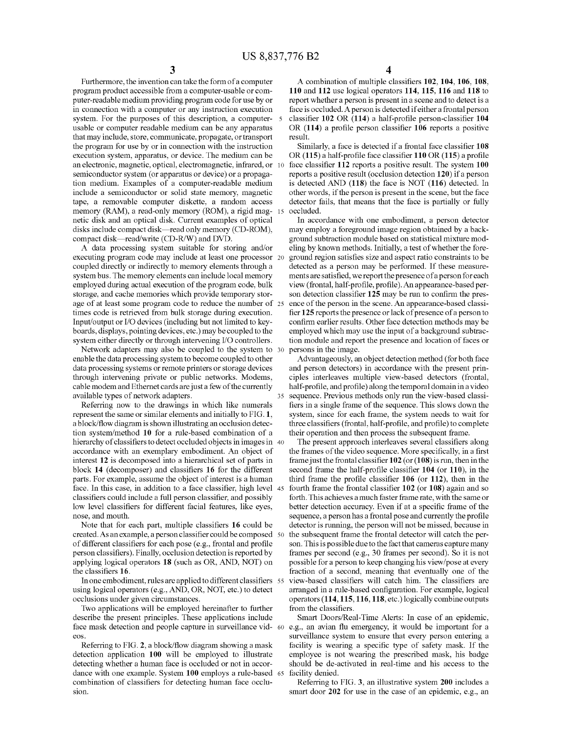35

Furthermore, the invention can take the form of a computer program product accessible from a computer-usable or com puter-readable medium providing program code for use by or in connection with a computer or any instruction execution system. For the purposes of this description, a computer- 5 usable or computer readable medium can be any apparatus that may include, store, communicate, propagate, or transport the program for use by or in connection with the instruction execution system, apparatus, or device. The medium can be an electronic, magnetic, optical, electromagnetic, infrared, or semiconductor system (or apparatus or device) or a propaga tion medium. Examples of a computer-readable medium include a semiconductor or solid state memory, magnetic tape, a removable computer diskette, a random access memory (RAM), a read-only memory (ROM), a rigid mag- 15 netic disk and an optical disk. Current examples of optical disks include compact disk—read only memory (CD-ROM), compact disk—read/write (CD-R/W) and DVD.

A data processing system suitable for storing and/or executing program code may include at least one processor 20 coupled directly or indirectly to memory elements through a system bus. The memory elements can include local memory employed during actual execution of the program code, bulk storage, and cache memories which provide temporary stor age of at least some program code to reduce the number of 25 times code is retrieved from bulk storage during execution. Input/output or I/O devices (including but not limited to key boards, displays, pointing devices, etc.) may be coupled to the system either directly or through intervening I/O controllers.

Network adapters may also be coupled to the system to 30 enable the data processing system to become coupled to other data processing systems or remote printers or storage devices through intervening private or public networks. Modems, cable modem and Ethernet cards are just a few of the currently available types of network adapters.

Referring now to the drawings in which like numerals represent the same or similar elements and initially to FIG. 1, a block/flow diagram is shown illustrating an occlusion detection system/method 10 for a rule-based combination of a hierarchy of classifiers to detect occluded objects in images in  $\,$  40  $\,$ accordance with an exemplary embodiment. An object of interest 12 is decomposed into a hierarchical set of parts in block 14 (decomposer) and classifiers 16 for the different parts. For example, assume the object of interest is a human face. In this case, in addition to a face classifier, high level 45 classifiers could include a full person classifier, and possibly low level classifiers for different facial features, like eyes, nose, and mouth.

Note that for each part, multiple classifiers 16 could be created. As an example, a person classi?er could be composed 50 of different classifiers for each pose (e.g., frontal and profile person classifiers). Finally, occlusion detection is reported by applying logical operators 18 (such as OR, AND, NOT) on the classifiers 16.

In one embodiment, rules are applied to different classi?ers 55 using logical operators (e.g., AND, OR, NOT, etc.) to detect occlusions under given circumstances.

Two applications will be employed hereinafter to further describe the present principles. These applications include face mask detection and people capture in surveillance vid- 60 e.g., an avian flu emergency, it would be important for a eos.

Referring to FIG.  $2$ , a block/flow diagram showing a mask detection application 100 will be employed to illustrate detecting whether a human face is occluded or not in accor dance with one example. System 100 employs a rule-based 65 combination of classifiers for detecting human face occlusion.

A combination of multiple classifiers 102, 104, 106, 108, 110 and 112 use logical operators 114, 115, 116 and 118 to report whether a person is present in a scene and to detect is a face is occluded. A person is detected if either a frontal person classifier  $102$  OR (114) a half-profile person-classifier  $104$ OR  $(114)$  a profile person classifier 106 reports a positive result.

Similarly, a face is detected if a frontal face classifier 108 OR  $(115)$  a half-profile face classifier  $110$  OR  $(115)$  a profile face classifier 112 reports a positive result. The system 100 reports a positive result (occlusion detection 120) if a person is detected AND (118) the face is NOT (116) detected. In other words, if the person is present in the scene, but the face detector fails, that means that the face is partially or fully occluded.

In accordance with one embodiment, a person detector may employ a foreground image region obtained by a back ground subtraction module based on statistical mixture mod eling by known methods. Initially, a test of whether the fore ground region satisfies size and aspect ratio constraints to be detected as a person may be performed. If these measure ments are satisfied, we report the presence of a person for each view (frontal, half-profile, profile). An appearance-based person detection classifier 125 may be run to confirm the presence of the person in the scene. An appearance-based classi fier 125 reports the presence or lack of presence of a person to confirm earlier results. Other face detection methods may be employed which may use the input of a background subtrac tion module and report the presence and location of faces or persons in the image.

Advantageously, an object detection method (for both face and person detectors) in accordance with the present prin ciples interleaves multiple view-based detectors (frontal, half-profile, and profile) along the temporal domain in a video sequence. Previous methods only run the view-based classi fiers in a single frame of the sequence. This slows down the system, since for each frame, the system needs to wait for three classifiers (frontal, half-profile, and profile) to complete their operation and then process the subsequent frame.

The present approach interleaves several classifiers along the frames of the video sequence. More specifically, in a first frame just the frontal classifier  $102$  (or  $(108)$  is run, then in the second frame the half-profile classifier  $104$  (or  $110$ ), in the third frame the profile classifier  $106$  (or  $112$ ), then in the fourth frame the frontal classifier  $102$  (or  $108$ ) again and so forth. This achieves a much faster frame rate, with the same or better detection accuracy. Even if at a specific frame of the sequence, a person has a frontal pose and currently the profile detector is running, the person will not be missed, because in the subsequent frame the frontal detector will catch the per son. This is possible due to the fact that cameras capture many frames per second (e.g., 30 frames per second). So it is not possible for a person to keep changing his view/pose at every fraction of a second, meaning that eventually one of the view-based classifiers will catch him. The classifiers are arranged in a rule-based configuration. For example, logical operators (114, 115, 116, 118, etc.) logically combine outputs from the classifiers.

Smart Doors/Real-Time Alerts: In case of an epidemic, surveillance system to ensure that every person entering a facility is wearing a specific type of safety mask. If the employee is not wearing the prescribed mask, his badge should be de-activated in real-time and his access to the facility denied.

Referring to FIG. 3, an illustrative system 200 includes a smart door 202 for use in the case of an epidemic, e.g., an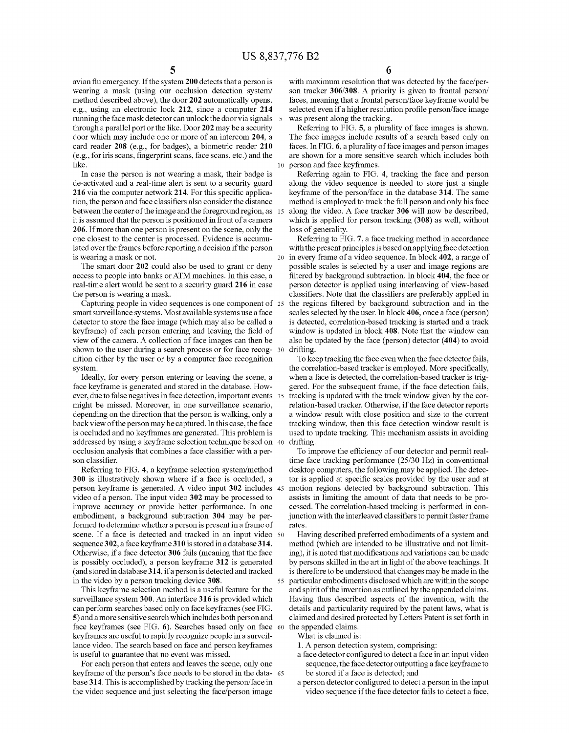avian flu emergency. If the system 200 detects that a person is wearing a mask (using our occlusion detection system/ method described above), the door 202 automatically opens. e.g., using an electronic lock 212, since a computer 214 running the face mask detector can unlock the door via signals through a parallel port or the like. Door 202 may be a security door which may include one or more of an intercom 204, a card reader 208 (e.g., for badges), a biometric reader 210 (e. g., for iris scans, ?ngerprint scans, face scans, etc.) and the like. 10

In case the person is not wearing a mask, their badge is de-activated and a real-time alert is sent to a security guard 216 via the computer network 214. For this specific application, the person and face classifiers also consider the distance between the center of the image and the foreground region, as 15 it is assumed that the person is positioned in front of a camera 206. If more than one person is present on the scene, only the one closest to the center is processed. Evidence is accumu lated over the frames before reporting a decision if the person is wearing a mask or not.

The smart door 202 could also be used to grant or deny access to people into banks or ATM machines. In this case, a real-time alert would be sent to a security guard 216 in case the person is wearing a mask.

Capturing people in video sequences is one component of 25 smart surveillance systems. Most available systems use a face detector to store the face image (which may also be called a keyframe) of each person entering and leaving the field of view of the camera. A collection of face images can then be shown to the user during a search process or for face recog nition either by the user or by a computer face recognition system. 30

Ideally, for every person entering or leaving the scene, a face keyframe is generated and stored in the database. How ever, due to false negatives in face detection, important events 35 might be missed. Moreover, in one surveillance scenario, depending on the direction that the person is walking, only a back view of the person may be captured. In this case, the face is occluded and no keyframes are generated. This problem is addressed by using a keyframe selection technique based on 40 occlusion analysis that combines a face classifier with a person classifier.

Referring to FIG. 4, a keyframe selection system/method 300 is illustratively shown where if a face is occluded, a person keyframe is generated. A video input 302 includes 45 video of a person. The input video 302 may be processed to improve accuracy or provide better performance. In one embodiment, a background subtraction 304 may be per formed to determine whether a person is present in a frame of scene. If a face is detected and tracked in an input video 50 sequence 302, a face keyframe 310 is stored in a database 314. Otherwise, if a face detector 306 fails (meaning that the face is possibly occluded), a person keyframe 312 is generated (and stored in database 314, if a person is detected and tracked in the video by a person tracking device 308.

This keyframe selection method is a useful feature for the surveillance system 300. An interface 316 is provided which can perform searches based only on face keyframes (see FIG. 5) and a more sensitive search which includes both person and face keyframes (see FIG. 6). Searches based only on face 60 keyframes are useful to rapidly recognize people in a surveil lance video. The search based on face and person keyframes is useful to guarantee that no event was missed.

For each person that enters and leaves the scene, only one keyframe of the person's face needs to be stored in the data base 314. This is accomplished by tracking the person/face in the video sequence and just selecting the face/person image 65 6

with maximum resolution that was detected by the face/per son tracker 306/308. A priority is given to frontal person/ faces, meaning that a frontal person/face keyframe would be selected even if a higher resolution profile person/face image was present along the tracking.

Referring to FIG. 5, a plurality of face images is shown. The face images include results of a search based only on faces. In FIG. 6, a plurality of face images and person images are shown for a more sensitive search which includes both person and face keyframes.

Referring again to FIG. 4, tracking the face and person along the video sequence is needed to store just a single keyframe of the person/face in the database 314. The same method is employed to track the full person and only his face along the video. A face tracker 306 will now be described, which is applied for person tracking (308) as well, without loss of generality.

20 in every frame of a video sequence. In block 402, a range of Referring to FIG. 7, a face tracking method in accordance with the present principles is based on applying face detection possible scales is selected by a user and image regions are filtered by background subtraction. In block 404, the face or person detector is applied using interleaving of view-based classifiers. Note that the classifiers are preferably applied in the regions filtered by background subtraction and in the scales selected by the user. In block 406, once a face (person) is detected, correlation-based tracking is started and a track window is updated in block 408. Note that the window can also be updated by the face (person) detector (404) to avoid drifting.

To keep tracking the face even when the face detector fails, the correlation-based tracker is employed. More specifically, when a face is detected, the correlation-based tracker is trig gered. For the subsequent frame, if the face detection fails, tracking is updated with the track window given by the cor relation-based tracker. Otherwise, if the face detector reports a window result with close position and size to the current tracking window, then this face detection window result is used to update tracking. This mechanism assists in avoiding drifting.

To improve the efficiency of our detector and permit realtime face tracking performance (25/30 HZ) in conventional desktop computers, the following may be applied. The detec tor is applied at specific scales provided by the user and at motion regions detected by background subtraction. This assists in limiting the amount of data that needs to be pro cessed. The correlation-based tracking is performed in con junction with the interleaved classifiers to permit faster frame rates.

55 particular embodiments disclosed which are within the scope Having described preferred embodiments of a system and method (which are intended to be illustrative and not limit ing), it is noted that modifications and variations can be made by persons skilled in the art in light of the above teachings. It is therefore to be understood that changes may be made in the and spirit of the invention as outlined by the appended claims. Having thus described aspects of the invention, with the details and particularity required by the patent laws, what is claimed and desired protected by Letters Patent is set forth in the appended claims.

What is claimed is:

1. A person detection system, comprising:

- a face detector configured to detect a face in an input video sequence, the face detector outputting a face keyframe to be stored if a face is detected; and
- a person detector configured to detect a person in the input video sequence if the face detector fails to detect a face,